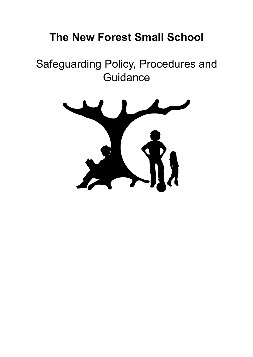# **The New Forest Small School**

# Safeguarding Policy, Procedures and **Guidance**

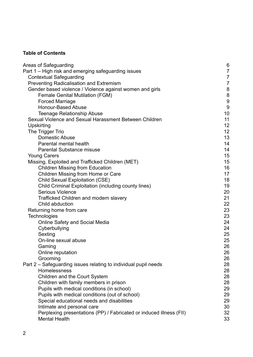## **Table of Contents**

| Areas of Safeguarding                                               | 6                |
|---------------------------------------------------------------------|------------------|
| Part 1 - High risk and emerging safeguarding issues                 | $\overline{7}$   |
| <b>Contextual Safeguarding</b>                                      | $\overline{7}$   |
| Preventing Radicalisation and Extremism                             | $\overline{7}$   |
| Gender based violence / Violence against women and girls            | 8                |
| <b>Female Genital Mutilation (FGM)</b>                              | $\bf 8$          |
| <b>Forced Marriage</b>                                              | $\boldsymbol{9}$ |
| <b>Honour-Based Abuse</b>                                           | $9\,$            |
| <b>Teenage Relationship Abuse</b>                                   | 10               |
| Sexual Violence and Sexual Harassment Between Children              | 11               |
| Upskirting                                                          | 12               |
| The Trigger Trio                                                    | 12               |
| <b>Domestic Abuse</b>                                               | 13               |
| Parental mental health                                              | 14               |
| <b>Parental Substance misuse</b>                                    | 14               |
| <b>Young Carers</b>                                                 | 15               |
| Missing, Exploited and Trafficked Children (MET)                    | 15               |
| <b>Children Missing from Education</b>                              | 16               |
| Children Missing from Home or Care                                  | 17               |
| <b>Child Sexual Exploitation (CSE)</b>                              | 18               |
| Child Criminal Exploitation (including county lines)                | 19               |
| <b>Serious Violence</b>                                             | 20               |
| Trafficked Children and modern slavery                              | 21               |
| Child abduction                                                     | 22               |
| Returning home from care                                            | 23               |
| <b>Technologies</b>                                                 | 23               |
| <b>Online Safety and Social Media</b>                               | 24               |
| Cyberbullying                                                       | 24               |
| Sexting                                                             | 25               |
| On-line sexual abuse                                                | 25<br>26         |
| Gaming                                                              | 26               |
| Online reputation<br>Grooming                                       | 26               |
| Part 2 – Safeguarding issues relating to individual pupil needs     | 28               |
| Homelessness                                                        | 28               |
| Children and the Court System                                       | 28               |
| Children with family members in prison                              | 28               |
| Pupils with medical conditions (in school)                          | 29               |
| Pupils with medical conditions (out of school)                      | 29               |
| Special educational needs and disabilities                          | 29               |
| Intimate and personal care                                          | 30               |
| Perplexing presentations (PP) / Fabricated or induced illness (FII) | 32               |
| <b>Mental Health</b>                                                | 33               |
|                                                                     |                  |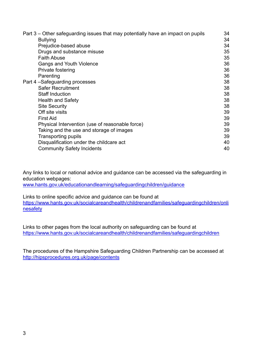| Part 3 – Other safeguarding issues that may potentially have an impact on pupils | 34 |
|----------------------------------------------------------------------------------|----|
| <b>Bullying</b>                                                                  | 34 |
| Prejudice-based abuse                                                            | 34 |
| Drugs and substance misuse                                                       | 35 |
| <b>Faith Abuse</b>                                                               | 35 |
| Gangs and Youth Violence                                                         | 36 |
| Private fostering                                                                | 36 |
| Parenting                                                                        | 36 |
| Part 4-Safeguarding processes                                                    | 38 |
| <b>Safer Recruitment</b>                                                         | 38 |
| <b>Staff Induction</b>                                                           | 38 |
| <b>Health and Safety</b>                                                         | 38 |
| <b>Site Security</b>                                                             | 38 |
| Off site visits                                                                  | 39 |
| <b>First Aid</b>                                                                 | 39 |
| Physical Intervention (use of reasonable force)                                  | 39 |
| Taking and the use and storage of images                                         | 39 |
| <b>Transporting pupils</b>                                                       | 39 |
| Disqualification under the childcare act                                         | 40 |
| <b>Community Safety Incidents</b>                                                | 40 |

Any links to local or national advice and guidance can be accessed via the safeguarding in education webpages:

[www.hants.gov.uk/educationandlearning/safeguardingchildren/guidance](http://www.hants.gov.uk/educationandlearning/safeguardingchildren/guidance)

Links to online specific advice and guidance can be found at [https://www.hants.gov.uk/socialcareandhealth/childrenandfamilies/safeguardingchildren/onli](https://www.hants.gov.uk/socialcareandhealth/childrenandfamilies/safeguardingchildren/onlinesafety) [nesafety](https://www.hants.gov.uk/socialcareandhealth/childrenandfamilies/safeguardingchildren/onlinesafety)

Links to other pages from the local authority on safeguarding can be found at <https://www.hants.gov.uk/socialcareandhealth/childrenandfamilies/safeguardingchildren>

The procedures of the Hampshire Safeguarding Children Partnership can be accessed at <http://hipsprocedures.org.uk/page/contents>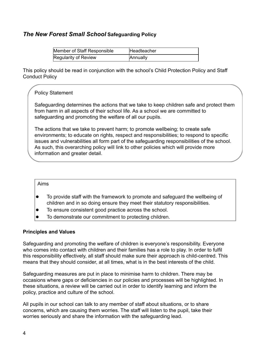## *The New Forest Small School* **Safeguarding Policy**

| Member of Staff Responsible | Headteacher |
|-----------------------------|-------------|
| Regularity of Review        | Annually    |

This policy should be read in conjunction with the school's Child Protection Policy and Staff Conduct Policy

#### **Policy Statement**

Safeguarding determines the actions that we take to keep children safe and protect them from harm in all aspects of their school life. As a school we are committed to safeguarding and promoting the welfare of all our pupils.

The actions that we take to prevent harm; to promote wellbeing; to create safe environments; to educate on rights, respect and responsibilities; to respond to specific issues and vulnerabilities all form part of the safeguarding responsibilities of the school. As such, this overarching policy will link to other policies which will provide more information and greater detail.

#### Aims

- To provide staff with the framework to promote and safeguard the wellbeing of children and in so doing ensure they meet their statutory responsibilities.
- To ensure consistent good practice across the school.
- To demonstrate our commitment to protecting children.

#### **Principles and Values**

Safeguarding and promoting the welfare of children is everyone's responsibility. Everyone who comes into contact with children and their families has a role to play. In order to fulfil this responsibility effectively, all staff should make sure their approach is child-centred. This means that they should consider, at all times, what is in the best interests of the child.

Safeguarding measures are put in place to minimise harm to children. There may be occasions where gaps or deficiencies in our policies and processes will be highlighted. In these situations, a review will be carried out in order to identify learning and inform the policy, practice and culture of the school.

All pupils in our school can talk to any member of staff about situations, or to share concerns, which are causing them worries. The staff will listen to the pupil, take their worries seriously and share the information with the safeguarding lead.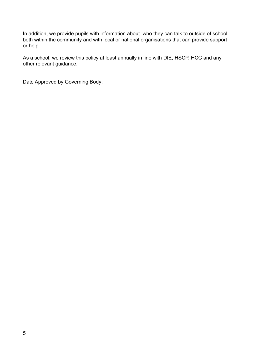In addition, we provide pupils with information about who they can talk to outside of school, both within the community and with local or national organisations that can provide support or help.

As a school, we review this policy at least annually in line with DfE, HSCP, HCC and any other relevant guidance.

Date Approved by Governing Body: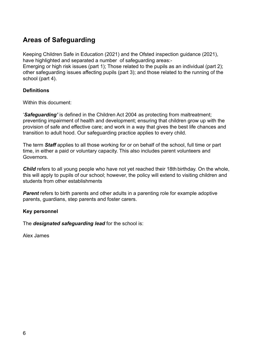# <span id="page-5-0"></span>**Areas of Safeguarding**

Keeping Children Safe in Education (2021) and the Ofsted inspection guidance (2021), have highlighted and separated a number of safeguarding areas:-

Emerging or high risk issues (part 1): Those related to the pupils as an individual (part 2): other safeguarding issues affecting pupils (part 3); and those related to the running of the school (part 4).

#### **Definitions**

Within this document:

'*Safeguarding'* is defined in the Children Act 2004 as protecting from maltreatment; preventing impairment of health and development; ensuring that children grow up with the provision of safe and effective care; and work in a way that gives the best life chances and transition to adult hood. Our safeguarding practice applies to every child.

The term *Staff* applies to all those working for or on behalf of the school, full time or part time, in either a paid or voluntary capacity. This also includes parent volunteers and Governors.

*Child* refers to all young people who have not yet reached their 18th birthday. On the whole, this will apply to pupils of our school; however, the policy will extend to visiting children and students from other establishments

**Parent** refers to birth parents and other adults in a parenting role for example adoptive parents, guardians, step parents and foster carers.

#### **Key personnel**

The *designated safeguarding lead* for the school is:

<span id="page-5-1"></span>Alex James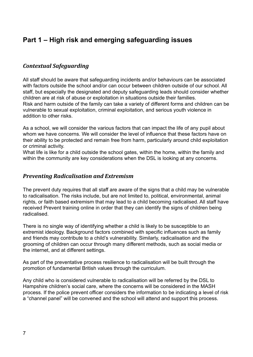# **Part 1 – High risk and emerging safeguarding issues**

## <span id="page-6-0"></span>*Contextual Safeguarding*

All staff should be aware that safeguarding incidents and/or behaviours can be associated with factors outside the school and/or can occur between children outside of our school. All staff, but especially the designated and deputy safeguarding leads should consider whether children are at risk of abuse or exploitation in situations outside their families. Risk and harm outside of the family can take a variety of different forms and children can be vulnerable to sexual exploitation, criminal exploitation, and serious youth violence in addition to other risks.

As a school, we will consider the various factors that can impact the life of any pupil about whom we have concerns. We will consider the level of influence that these factors have on their ability to be protected and remain free from harm, particularly around child exploitation or criminal activity.

What life is like for a child outside the school gates, within the home, within the family and within the community are key considerations when the DSL is looking at any concerns.

#### <span id="page-6-1"></span>*Preventing Radicalisation and Extremism*

The prevent duty requires that all staff are aware of the signs that a child may be vulnerable to radicalisation. The risks include, but are not limited to, political, environmental, animal rights, or faith based extremism that may lead to a child becoming radicalised. All staff have received Prevent training online in order that they can identify the signs of children being radicalised.

There is no single way of identifying whether a child is likely to be susceptible to an extremist ideology. Background factors combined with specific influences such as family and friends may contribute to a child's vulnerability. Similarly, radicalisation and the grooming of children can occur through many different methods, such as social media or the internet, and at different settings.

As part of the preventative process resilience to radicalisation will be built through the promotion of fundamental British values through the curriculum.

Any child who is considered vulnerable to radicalisation will be referred by the DSL to Hampshire children's social care, where the concerns will be considered in the MASH process. If the police prevent officer considers the information to be indicating a level of risk a "channel panel" will be convened and the school will attend and support this process.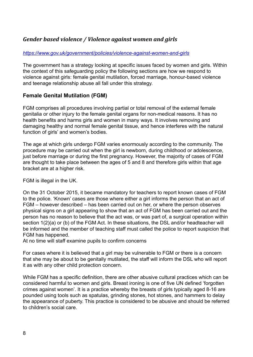## <span id="page-7-0"></span>*Gender based violence / Violence against women and girls*

#### *<https://www.gov.uk/government/policies/violence-against-women-and-girls>*

The government has a strategy looking at specific issues faced by women and girls. Within the context of this safeguarding policy the following sections are how we respond to violence against girls: female genital mutilation, forced marriage, honour-based violence and teenage relationship abuse all fall under this strategy.

#### <span id="page-7-1"></span>**Female Genital Mutilation (FGM)**

FGM comprises all procedures involving partial or total removal of the external female genitalia or other injury to the female genital organs for non-medical reasons. It has no health benefits and harms girls and women in many ways. It involves removing and damaging healthy and normal female genital tissue, and hence interferes with the natural function of girls' and women's bodies.

The age at which girls undergo FGM varies enormously according to the community. The procedure may be carried out when the girl is newborn, during childhood or adolescence, just before marriage or during the first pregnancy. However, the majority of cases of FGM are thought to take place between the ages of 5 and 8 and therefore girls within that age bracket are at a higher risk.

FGM is illegal in the UK.

On the 31 October 2015, it became mandatory for teachers to report known cases of FGM to the police. 'Known' cases are those where either a girl informs the person that an act of FGM – however described – has been carried out on her, or where the person observes physical signs on a girl appearing to show that an act of FGM has been carried out and the person has no reason to believe that the act was, or was part of, a surgical operation within section 1(2)(a) or (b) of the FGM Act. In these situations, the DSL and/or headteacher will be informed and the member of teaching staff must called the police to report suspicion that FGM has happened.

At no time will staff examine pupils to confirm concerns

For cases where it is believed that a girl may be vulnerable to FGM or there is a concern that she may be about to be genitally mutilated, the staff will inform the DSL who will report it as with any other child protection concern.

While FGM has a specific definition, there are other abusive cultural practices which can be considered harmful to women and girls. Breast ironing is one of five UN defined 'forgotten crimes against women'. It is a practice whereby the breasts of girls typically aged 8-16 are pounded using tools such as spatulas, grinding stones, hot stones, and hammers to delay the appearance of puberty. This practice is considered to be abusive and should be referred to children's social care.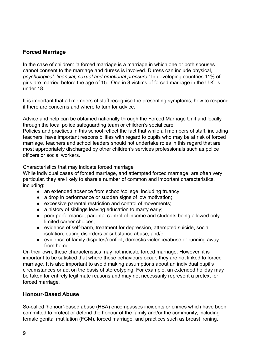## <span id="page-8-0"></span>**Forced Marriage**

In the case of children: 'a forced marriage is a marriage in which one or both spouses cannot consent to the marriage and duress is involved. Duress can include physical, *psychological, financial, sexual and emotional pressure.'* In developing countries 11% of girls are married before the age of 15. One in 3 victims of forced marriage in the U.K. is under 18.

It is important that all members of staff recognise the presenting symptoms, how to respond if there are concerns and where to turn for advice.

Advice and help can be obtained nationally through the Forced Marriage Unit and locally through the local police safeguarding team or children's social care. Policies and practices in this school reflect the fact that while all members of staff, including teachers, have important responsibilities with regard to pupils who may be at risk of forced marriage, teachers and school leaders should not undertake roles in this regard that are most appropriately discharged by other children's services professionals such as police officers or social workers.

Characteristics that may indicate forced marriage

While individual cases of forced marriage, and attempted forced marriage, are often very particular, they are likely to share a number of common and important characteristics, including:

- an extended absence from school/college, including truancy;
- a drop in performance or sudden signs of low motivation;
- excessive parental restriction and control of movements;
- a history of siblings leaving education to marry early;
- poor performance, parental control of income and students being allowed only limited career choices;
- evidence of self-harm, treatment for depression, attempted suicide, social isolation, eating disorders or substance abuse; and/or
- evidence of family disputes/conflict, domestic violence/abuse or running away from home.

On their own, these characteristics may not indicate forced marriage. However, it is important to be satisfied that where these behaviours occur, they are not linked to forced marriage. It is also important to avoid making assumptions about an individual pupil's circumstances or act on the basis of stereotyping. For example, an extended holiday may be taken for entirely legitimate reasons and may not necessarily represent a pretext for forced marriage*.*

#### <span id="page-8-1"></span>**Honour-Based Abuse**

So-called 'honour'-based abuse (HBA) encompasses incidents or crimes which have been committed to protect or defend the honour of the family and/or the community, including female genital mutilation (FGM), forced marriage, and practices such as breast ironing.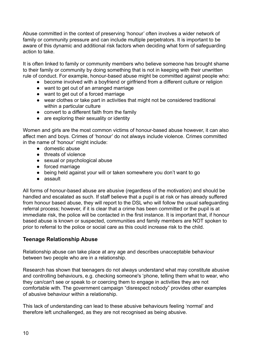Abuse committed in the context of preserving 'honour' often involves a wider network of family or community pressure and can include multiple perpetrators. It is important to be aware of this dynamic and additional risk factors when deciding what form of safeguarding action to take.

It is often linked to family or community members who believe someone has brought shame to their family or community by doing something that is not in keeping with their unwritten rule of conduct. For example, honour-based abuse might be committed against people who:

- become involved with a boyfriend or girlfriend from a different culture or religion
- want to get out of an arranged marriage
- want to get out of a forced marriage
- wear clothes or take part in activities that might not be considered traditional within a particular culture
- convert to a different faith from the family
- are exploring their sexuality or identity

Women and girls are the most common victims of honour-based abuse however, it can also affect men and boys. Crimes of 'honour' do not always include violence. Crimes committed in the name of 'honour' might include:

- domestic abuse
- threats of violence
- sexual or psychological abuse
- forced marriage
- being held against your will or taken somewhere you don't want to go
- assault

All forms of honour-based abuse are abusive (regardless of the motivation) and should be handled and escalated as such. If staff believe that a pupil is at risk or has already suffered from honour based abuse, they will report to the DSL who will follow the usual safeguarding referral process; however, if it is clear that a crime has been committed or the pupil is at immediate risk, the police will be contacted in the first instance. It is important that, if honour based abuse is known or suspected, communities and family members are NOT spoken to prior to referral to the police or social care as this could increase risk to the child.

## <span id="page-9-0"></span>**Teenage Relationship Abuse**

Relationship abuse can take place at any age and describes unacceptable behaviour between two people who are in a relationship.

Research has shown that teenagers do not always understand what may constitute abusive and controlling behaviours, e.g. checking someone's 'phone, telling them what to wear, who they can/can't see or speak to or coercing them to engage in activities they are not comfortable with. The government campaign "disrespect nobody" provides other examples of abusive behaviour within a relationship.

This lack of understanding can lead to these abusive behaviours feeling 'normal' and therefore left unchallenged, as they are not recognised as being abusive.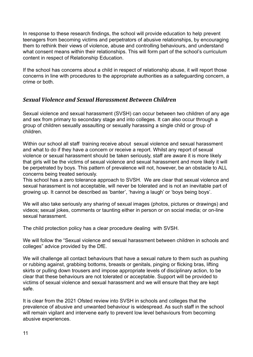In response to these research findings, the school will provide education to help prevent teenagers from becoming victims and perpetrators of abusive relationships, by encouraging them to rethink their views of violence, abuse and controlling behaviours, and understand what consent means within their relationships. This will form part of the school's curriculum content in respect of Relationship Education.

If the school has concerns about a child in respect of relationship abuse, it will report those concerns in line with procedures to the appropriate authorities as a safeguarding concern, a crime or both.

## <span id="page-10-0"></span>*Sexual Violence and Sexual Harassment Between Children*

Sexual violence and sexual harassment (SVSH) can occur between two children of any age and sex from primary to secondary stage and into colleges. It can also occur through a group of children sexually assaulting or sexually harassing a single child or group of children.

Within our school all staff training receive about sexual violence and sexual harassment and what to do if they have a concern or receive a report. Whilst any report of sexual violence or sexual harassment should be taken seriously, staff are aware it is more likely that girls will be the victims of sexual violence and sexual harassment and more likely it will be perpetrated by boys. This pattern of prevalence will not, however, be an obstacle to ALL concerns being treated seriously.

This school has a zero tolerance approach to SVSH. We are clear that sexual violence and sexual harassment is not acceptable, will never be tolerated and is not an inevitable part of growing up. It cannot be described as 'banter', 'having a laugh' or 'boys being boys'.

We will also take seriously any sharing of sexual images (photos, pictures or drawings) and videos; sexual jokes, comments or taunting either in person or on social media; or on-line sexual harassment.

The child protection policy has a clear procedure dealing with SVSH.

We will follow the "Sexual violence and sexual harassment between children in schools and colleges" advice provided by the DfE.

We will challenge all contact behaviours that have a sexual nature to them such as pushing or rubbing against, grabbing bottoms, breasts or genitals, pinging or flicking bras, lifting skirts or pulling down trousers and impose appropriate levels of disciplinary action, to be clear that these behaviours are not tolerated or acceptable. Support will be provided to victims of sexual violence and sexual harassment and we will ensure that they are kept safe.

It is clear from the 2021 Ofsted review into SVSH in schools and colleges that the prevalence of abusive and unwanted behaviour is widespread. As such staff in the school will remain vigilant and intervene early to prevent low level behaviours from becoming abusive experiences.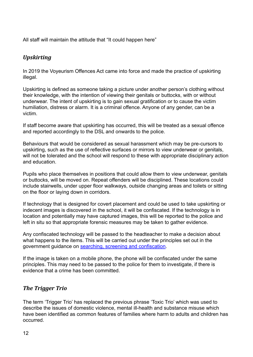All staff will maintain the attitude that "It could happen here"

## <span id="page-11-0"></span>*Upskirting*

In 2019 the Voyeurism Offences Act came into force and made the practice of upskirting illegal.

Upskirting is defined as someone taking a picture under another person's clothing without their knowledge, with the intention of viewing their genitals or buttocks, with or without underwear. The intent of upskirting is to gain sexual gratification or to cause the victim humiliation, distress or alarm. It is a criminal offence. Anyone of any gender, can be a victim.

If staff become aware that upskirting has occurred, this will be treated as a sexual offence and reported accordingly to the DSL and onwards to the police.

Behaviours that would be considered as sexual harassment which may be pre-cursors to upskirting, such as the use of reflective surfaces or mirrors to view underwear or genitals, will not be tolerated and the school will respond to these with appropriate disciplinary action and education.

Pupils who place themselves in positions that could allow them to view underwear, genitals or buttocks, will be moved on. Repeat offenders will be disciplined. These locations could include stairwells, under upper floor walkways, outside changing areas and toilets or sitting on the floor or laying down in corridors.

If technology that is designed for covert placement and could be used to take upskirting or indecent images is discovered in the school, it will be confiscated. If the technology is in location and potentially may have captured images, this will be reported to the police and left in situ so that appropriate forensic measures may be taken to gather evidence.

Any confiscated technology will be passed to the headteacher to make a decision about what happens to the items. This will be carried out under the principles set out in the government guidance on [searching, screening and confiscation](https://assets.publishing.service.gov.uk/government/uploads/system/uploads/attachment_data/file/674416/Searching_screening_and_confiscation.pdf).

If the image is taken on a mobile phone, the phone will be confiscated under the same principles. This may need to be passed to the police for them to investigate, if there is evidence that a crime has been committed.

## <span id="page-11-1"></span>*The Trigger Trio*

The term 'Trigger Trio' has replaced the previous phrase 'Toxic Trio' which was used to describe the issues of domestic violence, mental ill-health and substance misuse which have been identified as common features of families where harm to adults and children has occurred.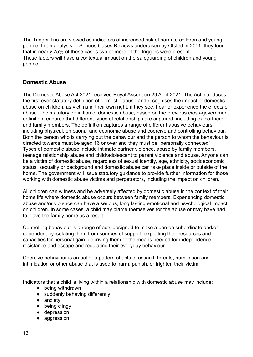The Trigger Trio are viewed as indicators of increased risk of harm to children and young people. In an analysis of Serious Cases Reviews undertaken by Ofsted in 2011, they found that in nearly 75% of these cases two or more of the triggers were present. These factors will have a contextual impact on the safeguarding of children and young people.

#### <span id="page-12-0"></span>**Domestic Abuse**

The Domestic Abuse Act 2021 received Royal Assent on 29 April 2021. The Act introduces the first ever statutory definition of domestic abuse and recognises the impact of domestic abuse on children, as victims in their own right, if they see, hear or experience the effects of abuse. The statutory definition of domestic abuse, based on the previous cross-government definition, ensures that different types of relationships are captured, including ex-partners and family members. The definition captures a range of different abusive behaviours, including physical, emotional and economic abuse and coercive and controlling behaviour. Both the person who is carrying out the behaviour and the person to whom the behaviour is directed towards must be aged 16 or over and they must be "personally connected" Types of domestic abuse include intimate partner violence, abuse by family members, teenage relationship abuse and child/adolescent to parent violence and abuse. Anyone can be a victim of domestic abuse, regardless of sexual identity, age, ethnicity, socioeconomic status, sexuality or background and domestic abuse can take place inside or outside of the home. The government will issue statutory guidance to provide further information for those working with domestic abuse victims and perpetrators, including the impact on children.

All children can witness and be adversely affected by domestic abuse in the context of their home life where domestic abuse occurs between family members. Experiencing domestic abuse and/or violence can have a serious, long lasting emotional and psychological impact on children. In some cases, a child may blame themselves for the abuse or may have had to leave the family home as a result.

Controlling behaviour is a range of acts designed to make a person subordinate and/or dependent by isolating them from sources of support, exploiting their resources and capacities for personal gain, depriving them of the means needed for independence, resistance and escape and regulating their everyday behaviour.

Coercive behaviour is an act or a pattern of acts of assault, threats, humiliation and intimidation or other abuse that is used to harm, punish, or frighten their victim.

Indicators that a child is living within a relationship with domestic abuse may include:

- being withdrawn
- suddenly behaving differently
- anxiety
- being clingy
- depression
- aggression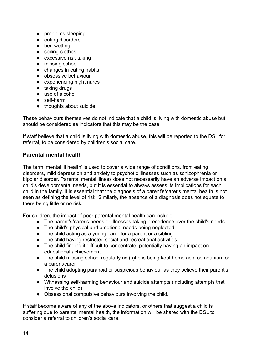- problems sleeping
- eating disorders
- bed wetting
- soiling clothes
- excessive risk taking
- missing school
- changes in eating habits
- obsessive behaviour
- experiencing nightmares
- taking drugs
- use of alcohol
- self-harm
- thoughts about suicide

These behaviours themselves do not indicate that a child is living with domestic abuse but should be considered as indicators that this may be the case.

If staff believe that a child is living with domestic abuse, this will be reported to the DSL for referral, to be considered by children's social care.

#### <span id="page-13-0"></span>**Parental mental health**

The term 'mental ill health' is used to cover a wide range of conditions, from eating disorders, mild depression and anxiety to psychotic illnesses such as schizophrenia or bipolar disorder. Parental mental illness does not necessarily have an adverse impact on a child's developmental needs, but it is essential to always assess its implications for each child in the family. It is essential that the diagnosis of a parent's/carer's mental health is not seen as defining the level of risk. Similarly, the absence of a diagnosis does not equate to there being little or no risk.

For children, the impact of poor parental mental health can include:

- The parent's/carer's needs or illnesses taking precedence over the child's needs
- The child's physical and emotional needs being neglected
- The child acting as a young carer for a parent or a sibling
- The child having restricted social and recreational activities
- The child finding it difficult to concentrate, potentially having an impact on educational achievement
- The child missing school regularly as (s)he is being kept home as a companion for a parent/carer
- The child adopting paranoid or suspicious behaviour as they believe their parent's delusions
- Witnessing self-harming behaviour and suicide attempts (including attempts that involve the child)
- Obsessional compulsive behaviours involving the child.

If staff become aware of any of the above indicators, or others that suggest a child is suffering due to parental mental health, the information will be shared with the DSL to consider a referral to children's social care.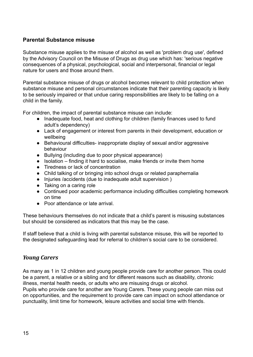#### <span id="page-14-0"></span>**Parental Substance misuse**

Substance misuse applies to the misuse of alcohol as well as 'problem drug use', defined by the Advisory Council on the Misuse of Drugs as drug use which has: 'serious negative consequences of a physical, psychological, social and interpersonal, financial or legal nature for users and those around them.

Parental substance misuse of drugs or alcohol becomes relevant to child protection when substance misuse and personal circumstances indicate that their parenting capacity is likely to be seriously impaired or that undue caring responsibilities are likely to be falling on a child in the family.

For children, the impact of parental substance misuse can include:

- Inadequate food, heat and clothing for children (family finances used to fund adult's dependency)
- Lack of engagement or interest from parents in their development, education or wellbeing
- Behavioural difficulties- inappropriate display of sexual and/or aggressive behaviour
- Bullying (including due to poor physical appearance)
- Isolation finding it hard to socialise, make friends or invite them home
- Tiredness or lack of concentration
- Child talking of or bringing into school drugs or related paraphernalia
- Injuries /accidents (due to inadequate adult supervision )
- Taking on a caring role
- Continued poor academic performance including difficulties completing homework on time
- Poor attendance or late arrival.

These behaviours themselves do not indicate that a child's parent is misusing substances but should be considered as indicators that this may be the case.

If staff believe that a child is living with parental substance misuse, this will be reported to the designated safeguarding lead for referral to children's social care to be considered.

#### <span id="page-14-1"></span>*Young Carers*

As many as 1 in 12 children and young people provide care for another person. This could be a parent, a relative or a sibling and for different reasons such as disability, chronic illness, mental health needs, or adults who are misusing drugs or alcohol.

Pupils who provide care for another are Young Carers. These young people can miss out on opportunities, and the requirement to provide care can impact on school attendance or punctuality, limit time for homework, leisure activities and social time with friends.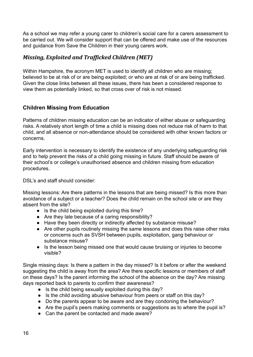As a school we may refer a young carer to children's social care for a carers assessment to be carried out. We will consider support that can be offered and make use of the resources and guidance from Save the Children in their young carers work.

## <span id="page-15-0"></span>*Missing, Exploited and Trafficked Children (MET)*

Within Hampshire, the acronym MET is used to identify all children who are missing; believed to be at risk of or are being exploited; or who are at risk of or are being trafficked. Given the close links between all these issues, there has been a considered response to view them as potentially linked, so that cross over of risk is not missed.

## <span id="page-15-1"></span>**Children Missing from Education**

Patterns of children missing education can be an indicator of either abuse or safeguarding risks. A relatively short length of time a child is missing does not reduce risk of harm to that child, and all absence or non-attendance should be considered with other known factors or concerns.

Early intervention is necessary to identify the existence of any underlying safeguarding risk and to help prevent the risks of a child going missing in future. Staff should be aware of their school's or college's unauthorised absence and children missing from education procedures.

DSL's and staff should consider:

Missing lessons: Are there patterns in the lessons that are being missed? Is this more than avoidance of a subject or a teacher? Does the child remain on the school site or are they absent from the site?

- Is the child being exploited during this time?
- Are they late because of a caring responsibility?
- Have they been directly or indirectly affected by substance misuse?
- Are other pupils routinely missing the same lessons and does this raise other risks or concerns such as SVSH between pupils, exploitation, gang behaviour or substance misuse?
- Is the lesson being missed one that would cause bruising or injuries to become visible?

Single missing days: Is there a pattern in the day missed? Is it before or after the weekend suggesting the child is away from the area? Are there specific lessons or members of staff on these days? Is the parent informing the school of the absence on the day? Are missing days reported back to parents to confirm their awareness?

- Is the child being sexually exploited during this day?
- Is the child avoiding abusive behaviour from peers or staff on this day?
- Do the parents appear to be aware and are they condoning the behaviour?
- Are the pupil's peers making comments or suggestions as to where the pupil is?
- Can the parent be contacted and made aware?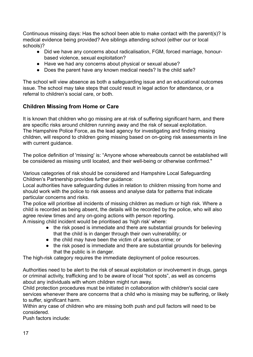Continuous missing days: Has the school been able to make contact with the parent(s)? Is medical evidence being provided? Are siblings attending school (either our or local schools)?

- Did we have any concerns about radicalisation, FGM, forced marriage, honourbased violence, sexual exploitation?
- Have we had any concerns about physical or sexual abuse?
- Does the parent have any known medical needs? Is the child safe?

The school will view absence as both a safeguarding issue and an educational outcomes issue. The school may take steps that could result in legal action for attendance, or a referral to children's social care, or both.

## <span id="page-16-0"></span>**Children Missing from Home or Care**

It is known that children who go missing are at risk of suffering significant harm, and there are specific risks around children running away and the risk of sexual exploitation. The Hampshire Police Force, as the lead agency for investigating and finding missing children, will respond to children going missing based on on-going risk assessments in line with current guidance.

The police definition of 'missing' is: "Anyone whose whereabouts cannot be established will be considered as missing until located, and their well-being or otherwise confirmed."

Various categories of risk should be considered and Hampshire Local Safeguarding Children's Partnership provides further guidance:

Local authorities have safeguarding duties in relation to children missing from home and should work with the police to risk assess and analyse data for patterns that indicate particular concerns and risks.

The police will prioritise all incidents of missing children as medium or high risk. Where a child is recorded as being absent, the details will be recorded by the police, who will also agree review times and any on-going actions with person reporting.

A missing child incident would be prioritised as 'high risk' where:

- the risk posed is immediate and there are substantial grounds for believing that the child is in danger through their own vulnerability; or
- the child may have been the victim of a serious crime; or
- the risk posed is immediate and there are substantial grounds for believing that the public is in danger.

The high-risk category requires the immediate deployment of police resources.

Authorities need to be alert to the risk of sexual exploitation or involvement in drugs, gangs or criminal activity, trafficking and to be aware of local "hot spots", as well as concerns about any individuals with whom children might run away.

Child protection procedures must be initiated in collaboration with children's social care services whenever there are concerns that a child who is missing may be suffering, or likely to suffer, significant harm.

Within any case of children who are missing both push and pull factors will need to be considered.

Push factors include: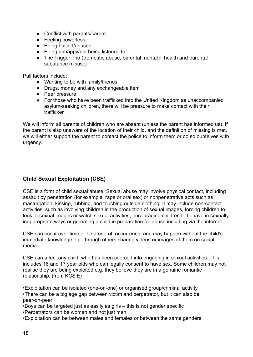- Conflict with parents/carers
- Feeling powerless
- Being bullied/abused
- Being unhappy/not being listened to
- The Trigger Trio (domestic abuse, parental mental ill health and parental substance misuse)

Pull factors include:

- Wanting to be with family/friends
- Drugs, money and any exchangeable item
- Peer pressure
- For those who have been trafficked into the United Kingdom as unaccompanied asylum-seeking children, there will be pressure to make contact with their trafficker.

We will inform all parents of children who are absent (unless the parent has informed us). If the parent is also unaware of the location of their child, and the definition of missing is met, we will either support the parent to contact the police to inform them or do so ourselves with urgency.

#### <span id="page-17-0"></span>**Child Sexual Exploitation (CSE)**

CSE is a form of child sexual abuse. Sexual abuse may involve physical contact, including assault by penetration (for example, rape or oral sex) or nonpenetrative acts such as masturbation, kissing, rubbing, and touching outside clothing. It may include non-contact activities, such as involving children in the production of sexual images, forcing children to look at sexual images or watch sexual activities, encouraging children to behave in sexually inappropriate ways or grooming a child in preparation for abuse including via the internet.

CSE can occur over time or be a one-off occurrence, and may happen without the child's immediate knowledge e.g. through others sharing videos or images of them on social media.

CSE can affect any child, who has been coerced into engaging in sexual activities. This includes 16 and 17 year olds who can legally consent to have sex. Some children may not realise they are being exploited e.g. they believe they are in a genuine romantic relationship. (from KCSiE)

•Exploitation can be isolated (one-on-one) or organised group/criminal activity •There can be a big age gap between victim and perpetrator, but it can also be peer-on-peer

•Boys can be targeted just as easily as girls – this is not gender specific •Perpetrators can be women and not just men

•Exploitation can be between males and females or between the same genders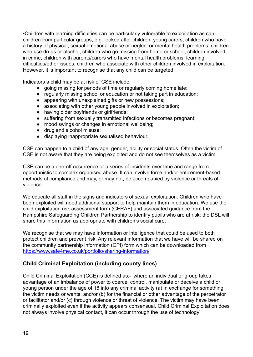•Children with learning difficulties can be particularly vulnerable to exploitation as can children from particular groups, e.g. looked after children, young carers, children who have a history of physical, sexual emotional abuse or neglect or mental health problems; children who use drugs or alcohol, children who go missing from home or school, children involved in crime, children with parents/carers who have mental health problems, learning difficulties/other issues, children who associate with other children involved in exploitation. However, it is important to recognise that any child can be targeted

Indicators a child may be at risk of CSE include:

- going missing for periods of time or regularly coming home late;
- regularly missing school or education or not taking part in education:
- appearing with unexplained gifts or new possessions:
- associating with other young people involved in exploitation:
- having older boyfriends or girlfriends;
- suffering from sexually transmitted infections or becomes pregnant;
- mood swings or changes in emotional wellbeing:
- drug and alcohol misuse;
- displaying inappropriate sexualised behaviour.

CSE can happen to a child of any age, gender, ability or social status. Often the victim of CSE is not aware that they are being exploited and do not see themselves as a victim.

CSE can be a one-off occurrence or a series of incidents over time and range from opportunistic to complex organised abuse. It can involve force and/or enticement-based methods of compliance and may, or may not, be accompanied by violence or threats of violence.

We educate all staff in the signs and indicators of sexual exploitation. Children who have been exploited will need additional support to help maintain them in education. We use the child exploitation risk assessment form ([CERAF](http://www.hampshiresafeguardingchildrenboard.org.uk/user_controlled_lcms_area/uploaded_files/SERAF%20Risk%20Assessment%20Form%20UPDATED%20Sept%202015%20%282%29.doc)) and [associated guidance](http://www.hampshiresafeguardingchildrenboard.org.uk/user_controlled_lcms_area/uploaded_files/SERAF%20Risk%20Assessment%20-%20Scoring%20Guidance_%28HF000005713337%29.doc) from the Hampshire Safeguarding Children Partnership to identify pupils who are at risk; the DSL will share this information as appropriate with children's social care.

We recognise that we may have information or intelligence that could be used to both protect children and prevent risk. Any relevant information that we have will be shared on the community partnership information (CPI) form which can be downloaded from <https://www.safe4me.co.uk/portfolio/sharing-information/>

#### <span id="page-18-0"></span>**Child Criminal Exploitation (including county lines)**

Child Criminal Exploitation (CCE) is defined as:- 'where an individual or group takes advantage of an imbalance of power to coerce, control, manipulate or deceive a child or young person under the age of 18 into any criminal activity (a) in exchange for something the victim needs or wants, and/or (b) for the financial or other advantage of the perpetrator or facilitator and/or (c) through violence or threat of violence. The victim may have been criminally exploited even if the activity appears consensual. Child Criminal Exploitation does not always involve physical contact, it can occur through the use of technology'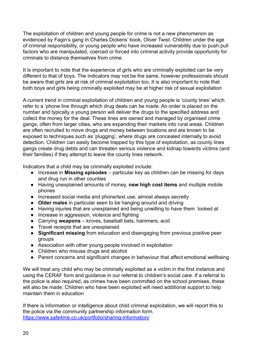The exploitation of children and young people for crime is not a new phenomenon as evidenced by Fagin's gang in Charles Dickens' book, Oliver Twist. Children under the age of criminal responsibility, or young people who have increased vulnerability due to push:pull factors who are manipulated, coerced or forced into criminal activity provide opportunity for criminals to distance themselves from crime.

It is important to note that the experience of girls who are criminally exploited can be very different to that of boys. The indicators may not be the same, however professionals should be aware that girls are at risk of criminal exploitation too. It is also important to note that both boys and girls being criminally exploited may be at higher risk of sexual exploitation

A current trend in criminal exploitation of children and young people is 'county lines' which refer to a 'phone line through which drug deals can be made. An order is placed on the number and typically a young person will deliver the drugs to the specified address and collect the money for the deal. These lines are owned and managed by organised crime gangs, often from larger cities, who are expanding their markets into rural areas. Children are often recruited to move drugs and money between locations and are known to be exposed to techniques such as 'plugging', where drugs are concealed internally to avoid detection. Children can easily become trapped by this type of exploitation, as county lines gangs create drug debts and can threaten serious violence and kidnap towards victims (and their families) if they attempt to leave the county lines network.

Indicators that a child may be criminally exploited include:

- Increase in **Missing episodes** particular key as children can be missing for days and drug run in other counties
- Having unexplained amounts of money, **new high cost items** and multiple mobile phones
- Increased social media and phone/text use, almost always secretly
- **Older males** in particular seen to be hanging around and driving
- Having injuries that are unexplained and being unwilling to have them looked at
- Increase in aggression, violence and fighting
- Carrying **weapons** knives, baseball bats, hammers, acid
- Travel receipts that are unexplained
- **Significant missing** from education and disengaging from previous positive peer groups
- Association with other young people involved in exploitation
- Children who misuse drugs and alcohol
- Parent concerns and significant changes in behaviour that affect emotional wellbeing

We will treat any child who may be criminally exploited as a victim in the first instance and using the CERAF form and guidance in our referral to children's social care. If a referral to the police is also required, as crimes have been committed on the school premises, these will also be made. Children who have been exploited will need additional support to help maintain them in education

If there is information or intelligence about child criminal exploitation, we will report this to the police via the community partnership information form. <https://www.safe4me.co.uk/portfolio/sharing-information/>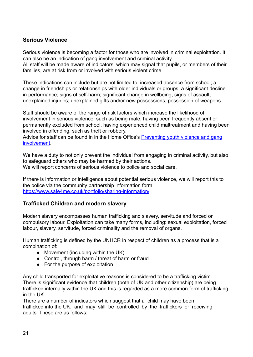#### <span id="page-20-0"></span>**Serious Violence**

Serious violence is becoming a factor for those who are involved in criminal exploitation. It can also be an indication of gang involvement and criminal activity. All staff will be made aware of indicators, which may signal that pupils, or members of their families, are at risk from or involved with serious violent crime.

These indications can include but are not limited to: increased absence from school; a change in friendships or relationships with older individuals or groups; a significant decline in performance; signs of self-harm; significant change in wellbeing; signs of assault; unexplained injuries; unexplained gifts and/or new possessions; possession of weapons.

Staff should be aware of the range of risk factors which increase the likelihood of involvement in serious violence, such as being male, having been frequently absent or permanently excluded from school, having experienced child maltreatment and having been involved in offending, such as theft or robbery.

Advice for staff can be found in in the Home Office's [Preventing youth violence and gang](https://www.gov.uk/government/publications/advice-to-schools-and-colleges-on-gangs-and-youth-violence) [involvement](https://www.gov.uk/government/publications/advice-to-schools-and-colleges-on-gangs-and-youth-violence).

We have a duty to not only prevent the individual from engaging in criminal activity, but also to safeguard others who may be harmed by their actions. We will report concerns of serious violence to police and social care.

If there is information or intelligence about potential serious violence, we will report this to the police via the community partnership information form. <https://www.safe4me.co.uk/portfolio/sharing-information/>

#### <span id="page-20-1"></span>**Trafficked Children and modern slavery**

Modern slavery encompasses human trafficking and slavery, servitude and forced or compulsory labour. Exploitation can take many forms, including: sexual exploitation, forced labour, slavery, servitude, forced criminality and the removal of organs.

Human trafficking is defined by the UNHCR in respect of children as a process that is a combination of:

- Movement (including within the UK)
- Control, through harm / threat of harm or fraud
- For the purpose of exploitation

Any child transported for exploitative reasons is considered to be a trafficking victim. There is significant evidence that children (both of UK and other citizenship) are being trafficked internally within the UK and this is regarded as a more common form of trafficking in the UK.

There are a number of indicators which suggest that a child may have been trafficked into the UK, and may still be controlled by the traffickers or receiving adults. These are as follows: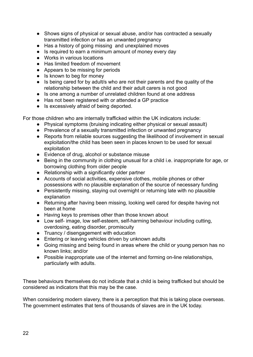- Shows signs of physical or sexual abuse, and/or has contracted a sexually transmitted infection or has an unwanted pregnancy
- Has a history of going missing and unexplained moves
- Is required to earn a minimum amount of money every day
- Works in various locations
- Has limited freedom of movement
- Appears to be missing for periods
- Is known to beg for money
- Is being cared for by adult/s who are not their parents and the quality of the relationship between the child and their adult carers is not good
- Is one among a number of unrelated children found at one address
- Has not been registered with or attended a GP practice
- Is excessively afraid of being deported.

For those children who are internally trafficked within the UK indicators include:

- Physical symptoms (bruising indicating either physical or sexual assault)
- Prevalence of a sexually transmitted infection or unwanted pregnancy
- Reports from reliable sources suggesting the likelihood of involvement in sexual exploitation/the child has been seen in places known to be used for sexual exploitation
- Evidence of drug, alcohol or substance misuse
- Being in the community in clothing unusual for a child i.e. inappropriate for age, or borrowing clothing from older people
- Relationship with a significantly older partner
- Accounts of social activities, expensive clothes, mobile phones or other possessions with no plausible explanation of the source of necessary funding
- Persistently missing, staying out overnight or returning late with no plausible explanation
- Returning after having been missing, looking well cared for despite having not been at home
- Having keys to premises other than those known about
- Low self- image, low self-esteem, self-harming behaviour including cutting, overdosing, eating disorder, promiscuity
- Truancy / disengagement with education
- Entering or leaving vehicles driven by unknown adults
- Going missing and being found in areas where the child or young person has no known links; and/or
- Possible inappropriate use of the internet and forming on-line relationships, particularly with adults.

These behaviours themselves do not indicate that a child is being trafficked but should be considered as indicators that this may be the case.

When considering modern slavery, there is a perception that this is taking place overseas. The government estimates that tens of thousands of slaves are in the UK today.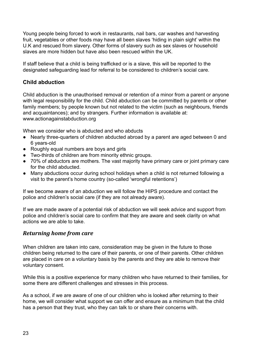Young people being forced to work in restaurants, nail bars, car washes and harvesting fruit, vegetables or other foods may have all been slaves 'hiding in plain sight' within the U.K and rescued from slavery. Other forms of slavery such as sex slaves or household slaves are more hidden but have also been rescued within the UK.

If staff believe that a child is being trafficked or is a slave, this will be reported to the designated safeguarding lead for referral to be considered to children's social care.

#### <span id="page-22-0"></span>**Child abduction**

Child abduction is the unauthorised removal or retention of a minor from a parent or anyone with legal responsibility for the child. Child abduction can be committed by parents or other family members; by people known but not related to the victim (such as neighbours, friends and acquaintances); and by strangers. Further information is available at: www.actionagainstabduction.org

When we consider who is abducted and who abducts

- Nearly three-quarters of children abducted abroad by a parent are aged between 0 and 6 years-old
- Roughly equal numbers are boys and girls
- Two-thirds of children are from minority ethnic groups.
- 70% of abductors are mothers. The vast majority have primary care or joint primary care for the child abducted.
- Many abductions occur during school holidays when a child is not returned following a visit to the parent's home country (so-called 'wrongful retentions')

If we become aware of an abduction we will follow the HIPS procedure and contact the police and children's social care (if they are not already aware).

If we are made aware of a potential risk of abduction we will seek advice and support from police and children's social care to confirm that they are aware and seek clarity on what actions we are able to take.

#### <span id="page-22-1"></span>*Returning home from care*

When children are taken into care, consideration may be given in the future to those children being returned to the care of their parents, or one of their parents. Other children are placed in care on a voluntary basis by the parents and they are able to remove their voluntary consent.

While this is a positive experience for many children who have returned to their families, for some there are different challenges and stresses in this process.

As a school, if we are aware of one of our children who is looked after returning to their home, we will consider what support we can offer and ensure as a minimum that the child has a person that they trust, who they can talk to or share their concerns with.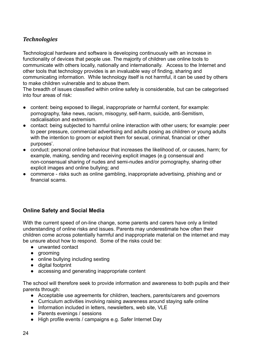## <span id="page-23-0"></span>*Technologies*

Technological hardware and software is developing continuously with an increase in functionality of devices that people use. The majority of children use online tools to communicate with others locally, nationally and internationally. Access to the Internet and other tools that technology provides is an invaluable way of finding, sharing and communicating information. While technology itself is not harmful, it can be used by others to make children vulnerable and to abuse them.

The breadth of issues classified within online safety is considerable, but can be categorised into four areas of risk:

- content: being exposed to illegal, inappropriate or harmful content, for example: pornography, fake news, racism, misogyny, self-harm, suicide, anti-Semitism, radicalisation and extremism.
- contact: being subjected to harmful online interaction with other users; for example: peer to peer pressure, commercial advertising and adults posing as children or young adults with the intention to groom or exploit them for sexual, criminal, financial or other purposes'.
- conduct: personal online behaviour that increases the likelihood of, or causes, harm; for example, making, sending and receiving explicit images (e.g consensual and non-consensual sharing of nudes and semi-nudes and/or pornography, sharing other explicit images and online bullying; and
- commerce risks such as online gambling, inappropriate advertising, phishing and or financial scams.

#### <span id="page-23-1"></span>**Online Safety and Social Media**

With the current speed of on-line change, some parents and carers have only a limited understanding of online risks and issues. Parents may underestimate how often their children come across potentially harmful and inappropriate material on the internet and may be unsure about how to respond. Some of the risks could be:

- unwanted contact
- aroomina
- online bullying including sexting
- digital footprint
- accessing and generating inappropriate content

The school will therefore seek to provide information and awareness to both pupils and their parents through:

- Acceptable use agreements for children, teachers, parents/carers and governors
- Curriculum activities involving raising awareness around staying safe online
- Information included in letters, newsletters, web site, VLE
- Parents evenings / sessions
- High profile events / campaigns e.g. Safer Internet Day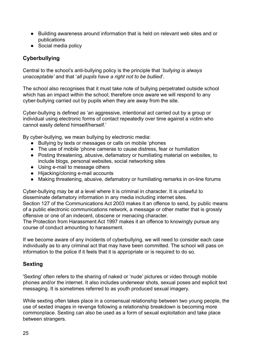- Building awareness around information that is held on relevant web sites and or publications
- Social media policy

## <span id="page-24-0"></span>**Cyberbullying**

Central to the school's anti-bullying policy is the principle that '*bullying is always unacceptable'* and that '*all pupils have a right not to be bullied*'.

The school also recognises that it must take note of bullying perpetrated outside school which has an impact within the school; therefore once aware we will respond to any cyber-bullying carried out by pupils when they are away from the site.

Cyber-bullying is defined as 'an aggressive, intentional act carried out by a group or individual using electronic forms of contact repeatedly over time against a victim who cannot easily defend himself/herself.'

By cyber-bullying, we mean bullying by electronic media:

- Bullying by texts or messages or calls on mobile 'phones
- The use of mobile 'phone cameras to cause distress, fear or humiliation
- Posting threatening, abusive, defamatory or humiliating material on websites, to include blogs, personal websites, social networking sites
- Using e-mail to message others
- Hijacking/cloning e-mail accounts
- Making threatening, abusive, defamatory or humiliating remarks in on-line forums

Cyber-bullying may be at a level where it is criminal in character. It is unlawful to disseminate defamatory information in any media including internet sites. Section 127 of the Communications Act 2003 makes it an offence to send, by public means of a public electronic communications network, a message or other matter that is grossly offensive or one of an indecent, obscene or menacing character.

The Protection from Harassment Act 1997 makes it an offence to knowingly pursue any course of conduct amounting to harassment.

If we become aware of any incidents of cyberbullying, we will need to consider each case individually as to any criminal act that may have been committed. The school will pass on information to the police if it feels that it is appropriate or is required to do so.

#### <span id="page-24-1"></span>**Sexting**

'Sexting' often refers to the sharing of naked or 'nude' pictures or video through mobile phones and/or the internet. It also includes underwear shots, sexual poses and explicit text messaging. It is sometimes referred to as youth produced sexual imagery.

While sexting often takes place in a consensual relationship between two young people, the use of sexted images in revenge following a relationship breakdown is becoming more commonplace. Sexting can also be used as a form of sexual exploitation and take place between strangers.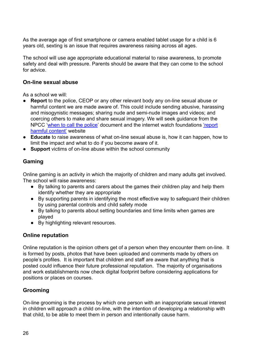As the average age of first smartphone or camera enabled tablet usage for a child is 6 years old, sexting is an issue that requires awareness raising across all ages.

The school will use age appropriate educational material to raise awareness, to promote safety and deal with pressure. Parents should be aware that they can come to the school for advice.

#### <span id="page-25-0"></span>**On-line sexual abuse**

As a school we will:

- **Report** to the police, CEOP or any other relevant body any on-line sexual abuse or harmful content we are made aware of. This could include sending abusive, harassing and misogynistic messages; sharing nude and semi-nude images and videos; and coercing others to make and share sexual imagery. We will seek guidance from the NPCC '[when to call the police](https://www.npcc.police.uk/documents/Children%20and%20Young%20people/When%20to%20call%20the%20police%20guidance%20for%20schools%20and%20colleges.pdf)' document and the internet watch foundations ['report](https://reportharmfulcontent.com/?lang=en) [harmful content'](https://reportharmfulcontent.com/?lang=en) website
- **● Educate** to raise awareness of what on-line sexual abuse is, how it can happen, how to limit the impact and what to do if you become aware of it.
- **● Support** victims of on-line abuse within the school community

## <span id="page-25-1"></span>**Gaming**

Online gaming is an activity in which the majority of children and many adults get involved. The school will raise awareness:

- By talking to parents and carers about the games their children play and help them identify whether they are appropriate
- By supporting parents in identifying the most effective way to safeguard their children by using parental controls and child safety mode
- By talking to parents about setting boundaries and time limits when games are played
- By highlighting relevant resources.

#### <span id="page-25-2"></span>**Online reputation**

Online reputation is the opinion others get of a person when they encounter them on-line. It is formed by posts, photos that have been uploaded and comments made by others on people's profiles. It is important that children and staff are aware that anything that is posted could influence their future professional reputation. The majority of organisations and work establishments now check digital footprint before considering applications for positions or places on courses.

#### <span id="page-25-3"></span>**Grooming**

On-line grooming is the process by which one person with an inappropriate sexual interest in children will approach a child on-line, with the intention of developing a relationship with that child, to be able to meet them in person and intentionally cause harm.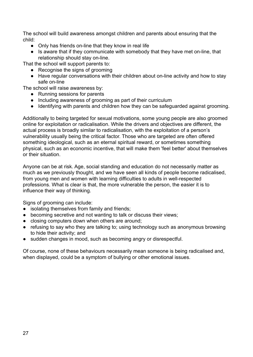The school will build awareness amongst children and parents about ensuring that the child:

- Only has friends on-line that they know in real life
- Is aware that if they communicate with somebody that they have met on-line, that relationship should stay on-line.

That the school will support parents to:

- Recognise the signs of grooming
- Have regular conversations with their children about on-line activity and how to stay safe on-line

The school will raise awareness by:

- Running sessions for parents
- Including awareness of grooming as part of their curriculum
- Identifying with parents and children how they can be safeguarded against grooming.

Additionally to being targeted for sexual motivations, some young people are also groomed online for exploitation or radicalisation. While the drivers and objectives are different, the actual process is broadly similar to radicalisation, with the exploitation of a person's vulnerability usually being the critical factor. Those who are targeted are often offered something ideological, such as an eternal spiritual reward, or sometimes something physical, such as an economic incentive, that will make them 'feel better' about themselves or their situation.

Anyone can be at risk. Age, social standing and education do not necessarily matter as much as we previously thought, and we have seen all kinds of people become radicalised, from young men and women with learning difficulties to adults in well-respected professions. What is clear is that, the more vulnerable the person, the easier it is to influence their way of thinking.

Signs of grooming can include:

- isolating themselves from family and friends;
- becoming secretive and not wanting to talk or discuss their views;
- closing computers down when others are around;
- refusing to say who they are talking to; using technology such as anonymous browsing to hide their activity; and
- sudden changes in mood, such as becoming angry or disrespectful.

Of course, none of these behaviours necessarily mean someone is being radicalised and, when displayed, could be a symptom of bullying or other emotional issues.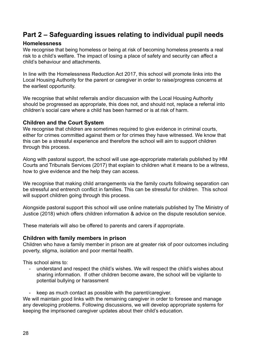## <span id="page-27-0"></span>**Part 2 – Safeguarding issues relating to individual pupil needs**

#### <span id="page-27-1"></span>**Homelessness**

We recognise that being homeless or being at risk of becoming homeless presents a real risk to a child's welfare. The impact of losing a place of safety and security can affect a child's behaviour and attachments.

In line with the Homelessness Reduction Act 2017, this school will promote links into the Local Housing Authority for the parent or caregiver in order to raise/progress concerns at the earliest opportunity.

We recognise that whilst referrals and/or discussion with the Local Housing Authority should be progressed as appropriate, this does not, and should not, replace a referral into children's social care where a child has been harmed or is at risk of harm.

#### <span id="page-27-2"></span>**Children and the Court System**

We recognise that children are sometimes required to give evidence in criminal courts, either for crimes committed against them or for crimes they have witnessed. We know that this can be a stressful experience and therefore the school will aim to support children through this process.

Along with pastoral support, the school will use age-appropriate materials published by HM Courts and Tribunals Services (2017) that explain to children what it means to be a witness, how to give evidence and the help they can access.

We recognise that making child arrangements via the family courts following separation can be stressful and entrench conflict in families. This can be stressful for children. This school will support children going through this process.

Alongside pastoral support this school will use online materials published by The Ministry of Justice (2018) which offers children information & advice on the dispute resolution service.

These materials will also be offered to parents and carers if appropriate.

#### <span id="page-27-3"></span>**Children with family members in prison**

Children who have a family member in prison are at greater risk of poor outcomes including poverty, stigma, isolation and poor mental health.

This school aims to:

- understand and respect the child's wishes. We will respect the child's wishes about sharing information. If other children become aware, the school will be vigilante to potential bullying or harassment
- keep as much contact as possible with the parent/caregiver.

We will maintain good links with the remaining caregiver in order to foresee and manage any developing problems. Following discussions, we will develop appropriate systems for keeping the imprisoned caregiver updates about their child's education.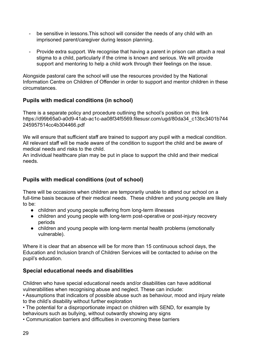- be sensitive in lessons. This school will consider the needs of any child with an imprisoned parent/caregiver during lesson planning.
- Provide extra support. We recognise that having a parent in prison can attach a real stigma to a child, particularly if the crime is known and serious. We will provide support and mentoring to help a child work through their feelings on the issue.

Alongside pastoral care the school will use the resources provided by the National Information Centre on Children of Offender in order to support and mentor children in these circumstances.

## <span id="page-28-0"></span>**Pupils with medical conditions (in school)**

There is a separate policy and procedure outlining the school's position on this link https://d99b65a0-a0d9-41ab-ac1c-aa08f34f5569.filesusr.com/ugd/80da34\_c13bc3401b744 245957514cc4b304466.pdf

We will ensure that sufficient staff are trained to support any pupil with a medical condition. All relevant staff will be made aware of the condition to support the child and be aware of medical needs and risks to the child.

An individual healthcare plan may be put in place to support the child and their medical needs.

## <span id="page-28-1"></span>**Pupils with medical conditions (out of school)**

There will be occasions when children are temporarily unable to attend our school on a full-time basis because of their medical needs. These children and young people are likely to be:

- children and young people suffering from long-term illnesses
- children and young people with long-term post-operative or post-injury recovery periods
- children and young people with long-term mental health problems (emotionally vulnerable).

Where it is clear that an absence will be for more than 15 continuous school days, the Education and Inclusion branch of Children Services will be contacted to advise on the pupil's education.

## <span id="page-28-2"></span>**Special educational needs and disabilities**

Children who have special educational needs and/or disabilities can have additional vulnerabilities when recognising abuse and neglect. These can include:

• Assumptions that indicators of possible abuse such as behaviour, mood and injury relate to the child's disability without further exploration

• The potential for a disproportionate impact on children with SEND, for example by behaviours such as bullying, without outwardly showing any signs

• Communication barriers and difficulties in overcoming these barriers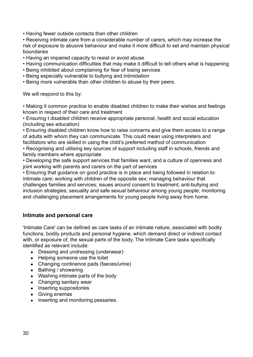• Having fewer outside contacts than other children

• Receiving intimate care from a considerable number of carers, which may increase the risk of exposure to abusive behaviour and make it more difficult to set and maintain physical boundaries

- Having an impaired capacity to resist or avoid abuse
- Having communication difficulties that may make it difficult to tell others what is happening
- Being inhibited about complaining for fear of losing services
- Being especially vulnerable to bullying and intimidation
- Being more vulnerable than other children to abuse by their peers.

We will respond to this by:

• Making it common practice to enable disabled children to make their wishes and feelings known in respect of their care and treatment

• Ensuring t disabled children receive appropriate personal, health and social education (including sex education)

• Ensuring disabled children know how to raise concerns and give them access to a range of adults with whom they can communicate. This could mean using interpreters and facilitators who are skilled in using the child's preferred method of communication

• Recognising and utilising key sources of support including staff in schools, friends and family members where appropriate

• Developing the safe support services that families want, and a culture of openness and joint working with parents and carers on the part of services

• Ensuring that guidance on good practice is in place and being followed in relation to: intimate care; working with children of the opposite sex; managing behaviour that challenges families and services; issues around consent to treatment; anti-bullying and inclusion strategies; sexuality and safe sexual behaviour among young people; monitoring and challenging placement arrangements for young people living away from home.

#### <span id="page-29-0"></span>**Intimate and personal care**

'Intimate Care' can be defined as care tasks of an intimate nature, associated with bodily functions, bodily products and personal hygiene, which demand direct or indirect contact with, or exposure of, the sexual parts of the body. The Intimate Care tasks specifically identified as relevant include:

- Dressing and undressing (underwear)
- Helping someone use the toilet
- Changing continence pads (faeces/urine)
- Bathing / showering
- Washing intimate parts of the body
- Changing sanitary wear
- Inserting suppositories
- Giving enemas
- Inserting and monitoring pessaries.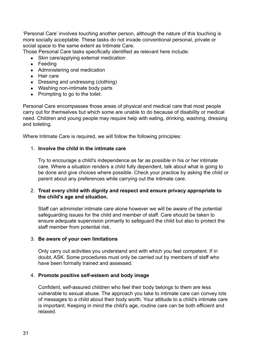'Personal Care' involves touching another person, although the nature of this touching is more socially acceptable. These tasks do not invade conventional personal, private or social space to the same extent as Intimate Care.

Those Personal Care tasks specifically identified as relevant here include:

- Skin care/applying external medication
- Feeding
- Administering oral medication
- Hair care
- Dressing and undressing (clothing)
- Washing non-intimate body parts
- Prompting to go to the toilet.

Personal Care encompasses those areas of physical and medical care that most people carry out for themselves but which some are unable to do because of disability or medical need. Children and young people may require help with eating, drinking, washing, dressing and toileting.

Where Intimate Care is required, we will follow the following principles:

#### 1. **Involve the child in the intimate care**

Try to encourage a child's independence as far as possible in his or her intimate care. Where a situation renders a child fully dependent, talk about what is going to be done and give choices where possible. Check your practice by asking the child or parent about any preferences while carrying out the intimate care.

#### 2. **Treat every child with dignity and respect and ensure privacy appropriate to the child's age and situation.**

Staff can administer intimate care alone however we will be aware of the potential safeguarding issues for the child and member of staff. Care should be taken to ensure adequate supervision primarily to safeguard the child but also to protect the staff member from potential risk.

#### 3. **Be aware of your own limitations**

Only carry out activities you understand and with which you feel competent. If in doubt, ASK. Some procedures must only be carried out by members of staff who have been formally trained and assessed.

#### 4. **Promote positive self-esteem and body image**

Confident, self-assured children who feel their body belongs to them are less vulnerable to sexual abuse. The approach you take to intimate care can convey lots of messages to a child about their body worth. Your attitude to a child's intimate care is important. Keeping in mind the child's age, routine care can be both efficient and relaxed.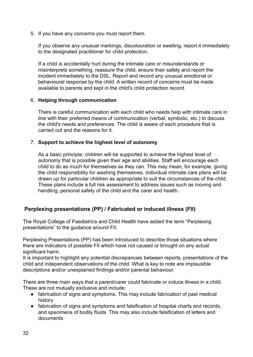5. If you have any concerns you must report them.

If you observe any unusual markings, discolouration or swelling, report it immediately to the designated practitioner for child protection.

If a child is accidentally hurt during the intimate care or misunderstands or misinterprets something, reassure the child, ensure their safety and report the incident immediately to the DSL. Report and record any unusual emotional or behavioural response by the child. A written record of concerns must be made available to parents and kept in the child's child protection record.

#### 6. **Helping through communication**

There is careful communication with each child who needs help with intimate care in line with their preferred means of communication (verbal, symbolic, etc.) to discuss the child's needs and preferences. The child is aware of each procedure that is carried out and the reasons for it.

#### 7. **Support to achieve the highest level of autonomy**

As a basic principle, children will be supported to achieve the highest level of autonomy that is possible given their age and abilities. Staff will encourage each child to do as much for themselves as they can. This may mean, for example, giving the child responsibility for washing themselves. Individual intimate care plans will be drawn up for particular children as appropriate to suit the circumstances of the child. These plans include a full risk assessment to address issues such as moving and handling, personal safety of the child and the carer and health.

#### <span id="page-31-0"></span>**Perplexing presentations (PP) / Fabricated or induced illness (FII)**

The Royal College of Paediatrics and Child Health have added the term "Perplexing presentations" to the guidance around FII.

Perplexing Presentations (PP) has been introduced to describe those situations where there are indicators of possible FII which have not caused or brought on any actual significant harm.

It is important to highlight any potential discrepancies between reports, presentations of the child and independent observations of the child. What is key to note are implausible descriptions and/or unexplained findings and/or parental behaviour.

There are three main ways that a parent/carer could fabricate or induce illness in a child. These are not mutually exclusive and include:

- fabrication of signs and symptoms. This may include fabrication of past medical history
- fabrication of signs and symptoms and falsification of hospital charts and records, and specimens of bodily fluids. This may also include falsification of letters and documents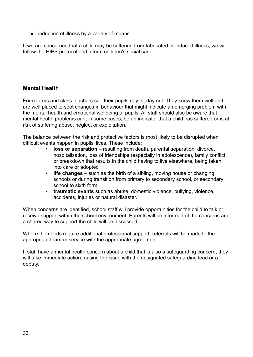● induction of illness by a variety of means.

If we are concerned that a child may be suffering from fabricated or induced illness, we will follow the HIPS protocol and inform children's social care.

#### <span id="page-32-0"></span>**Mental Health**

Form tutors and class teachers see their pupils day in, day out. They know them well and are well placed to spot changes in behaviour that might indicate an emerging problem with the mental health and emotional wellbeing of pupils. All staff should also be aware that mental health problems can, in some cases, be an indicator that a child has suffered or is at risk of suffering abuse, neglect or exploitation.

The balance between the risk and protective factors is most likely to be disrupted when difficult events happen in pupils' lives. These include:

- **loss or separation** resulting from death, parental separation, divorce, hospitalisation, loss of friendships (especially in adolescence), family conflict or breakdown that results in the child having to live elsewhere, being taken into care or adopted
- **life changes** such as the birth of a sibling, moving house or changing schools or during transition from primary to secondary school, or secondary school to sixth form
- **traumatic events** such as abuse, domestic violence, bullying, violence, accidents, injuries or natural disaster.

When concerns are identified, school staff will provide opportunities for the child to talk or receive support within the school environment. Parents will be informed of the concerns and a shared way to support the child will be discussed.

Where the needs require additional professional support, referrals will be made to the appropriate team or service with the appropriate agreement.

If staff have a mental health concern about a child that is also a safeguarding concern, they will take immediate action, raising the issue with the designated safeguarding lead or a deputy.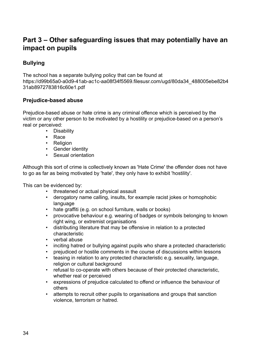## <span id="page-33-0"></span>**Part 3 – Other safeguarding issues that may potentially have an impact on pupils**

## <span id="page-33-1"></span>**Bullying**

The school has a separate bullying policy that can be found at https://d99b65a0-a0d9-41ab-ac1c-aa08f34f5569.filesusr.com/ugd/80da34\_488005ebe82b4 31ab8972783816c60e1.pdf

#### <span id="page-33-2"></span>**Prejudice-based abuse**

Prejudice-based abuse or hate crime is any criminal offence which is perceived by the victim or any other person to be motivated by a hostility or prejudice-based on a person's real or perceived:

- Disability
- **•** Race
- Religion
- Gender identity
- Sexual orientation

Although this sort of crime is collectively known as 'Hate Crime' the offender does not have to go as far as being motivated by 'hate', they only have to exhibit 'hostility'.

This can be evidenced by:

- threatened or actual physical assault
- derogatory name calling, insults, for example racist jokes or homophobic language
- hate graffiti (e.g. on school furniture, walls or books)
- provocative behaviour e.g. wearing of badges or symbols belonging to known right wing, or extremist organisations
- distributing literature that may be offensive in relation to a protected characteristic
- verbal abuse
- inciting hatred or bullying against pupils who share a protected characteristic
- prejudiced or hostile comments in the course of discussions within lessons
- teasing in relation to any protected characteristic e.g. sexuality, language, religion or cultural background
- refusal to co-operate with others because of their protected characteristic, whether real or perceived
- expressions of prejudice calculated to offend or influence the behaviour of others
- attempts to recruit other pupils to organisations and groups that sanction violence, terrorism or hatred.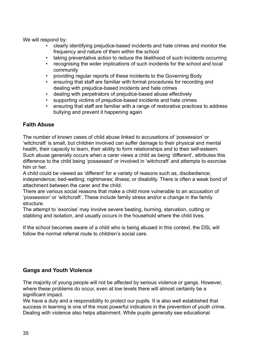We will respond by:

- clearly identifying prejudice-based incidents and hate crimes and monitor the frequency and nature of them within the school
- taking preventative action to reduce the likelihood of such incidents occurring
- recognising the wider implications of such incidents for the school and local community
- providing regular reports of these incidents to the Governing Body
- ensuring that staff are familiar with formal procedures for recording and dealing with prejudice-based incidents and hate crimes
- dealing with perpetrators of prejudice-based abuse effectively
- supporting victims of prejudice-based incidents and hate crimes
- ensuring that staff are familiar with a range of restorative practices to address bullying and prevent it happening again

#### <span id="page-34-0"></span>**Faith Abuse**

The number of known cases of child abuse linked to accusations of 'possession' or 'witchcraft' is small, but children involved can suffer damage to their physical and mental health, their capacity to learn, their ability to form relationships and to their self-esteem. Such abuse generally occurs when a carer views a child as being 'different', attributes this difference to the child being 'possessed' or involved in 'witchcraft' and attempts to exorcise him or her.

A child could be viewed as 'different' for a variety of reasons such as, disobedience; independence; bed-wetting; nightmares; illness; or disability. There is often a weak bond of attachment between the carer and the child.

There are various social reasons that make a child more vulnerable to an accusation of 'possession' or 'witchcraft'. These include family stress and/or a change in the family structure.

The attempt to 'exorcise' may involve severe beating, burning, starvation, cutting or stabbing and isolation, and usually occurs in the household where the child lives.

If the school becomes aware of a child who is being abused in this context, the DSL will follow the normal referral route to children's social care.

#### <span id="page-34-1"></span>**Gangs and Youth Violence**

The majority of young people will not be affected by serious violence or gangs. However, where these problems do occur, even at low levels there will almost certainly be a significant impact.

We have a duty and a responsibility to protect our pupils. It is also well established that success in learning is one of the most powerful indicators in the prevention of youth crime. Dealing with violence also helps attainment. While pupils generally see educational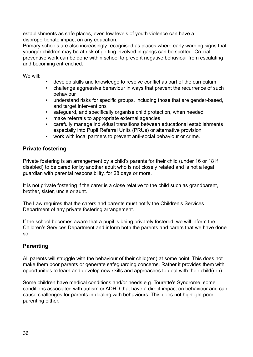establishments as safe places, even low levels of youth violence can have a disproportionate impact on any education.

Primary schools are also increasingly recognised as places where early warning signs that younger children may be at risk of getting involved in gangs can be spotted. Crucial preventive work can be done within school to prevent negative behaviour from escalating and becoming entrenched.

We will:

- develop skills and knowledge to resolve conflict as part of the curriculum
- challenge aggressive behaviour in ways that prevent the recurrence of such behaviour
- understand risks for specific groups, including those that are gender-based, and target interventions
- safeguard, and specifically organise child protection, when needed
- make referrals to appropriate external agencies
- carefully manage individual transitions between educational establishments especially into Pupil Referral Units (PRUs) or alternative provision
- work with local partners to prevent anti-social behaviour or crime.

#### <span id="page-35-0"></span>**Private fostering**

Private fostering is an arrangement by a child's parents for their child (under 16 or 18 if disabled) to be cared for by another adult who is not closely related and is not a legal guardian with parental responsibility, for 28 days or more.

It is not private fostering if the carer is a close relative to the child such as grandparent, brother, sister, uncle or aunt.

The Law requires that the carers and parents must notify the Children's Services Department of any private fostering arrangement.

If the school becomes aware that a pupil is being privately fostered, we will inform the Children's Services Department and inform both the parents and carers that we have done so.

#### <span id="page-35-1"></span>**Parenting**

All parents will struggle with the behaviour of their child(ren) at some point. This does not make them poor parents or generate safeguarding concerns. Rather it provides them with opportunities to learn and develop new skills and approaches to deal with their child(ren).

Some children have medical conditions and/or needs e.g. Tourette's Syndrome, some conditions associated with autism or ADHD that have a direct impact on behaviour and can cause challenges for parents in dealing with behaviours. This does not highlight poor parenting either.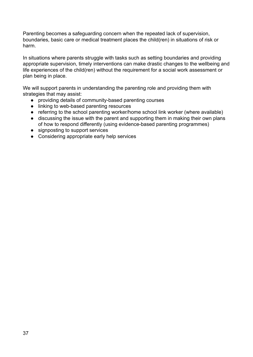Parenting becomes a safeguarding concern when the repeated lack of supervision, boundaries, basic care or medical treatment places the child(ren) in situations of risk or harm.

In situations where parents struggle with tasks such as setting boundaries and providing appropriate supervision, timely interventions can make drastic changes to the wellbeing and life experiences of the child(ren) without the requirement for a social work assessment or plan being in place.

We will support parents in understanding the parenting role and providing them with strategies that may assist:

- providing details of community-based parenting courses
- linking to web-based parenting resources
- referring to the school parenting worker/home school link worker (where available)
- discussing the issue with the parent and supporting them in making their own plans of how to respond differently (using evidence-based parenting programmes)
- signposting to support services
- Considering appropriate early help services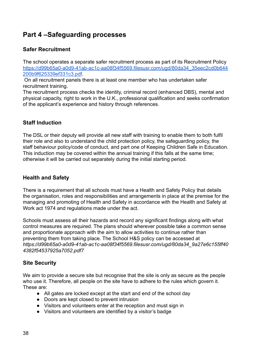# <span id="page-37-0"></span>**Part 4 –Safeguarding processes**

## <span id="page-37-1"></span>**Safer Recruitment**

The school operates a separate safer recruitment process as part of its Recruitment Policy [https://d99b65a0-a0d9-41ab-ac1c-aa08f34f5569.filesusr.com/ugd/80da34\\_35eec2cd0b644](https://d99b65a0-a0d9-41ab-ac1c-aa08f34f5569.filesusr.com/ugd/80da34_35eec2cd0b644200b9f625339ef331c3.pdf) [200b9f625339ef331c3.pdf](https://d99b65a0-a0d9-41ab-ac1c-aa08f34f5569.filesusr.com/ugd/80da34_35eec2cd0b644200b9f625339ef331c3.pdf).

On all recruitment panels there is at least one member who has undertaken safer recruitment training.

The recruitment process checks the identity, criminal record (enhanced DBS), mental and physical capacity, right to work in the U.K., professional qualification and seeks confirmation of the applicant's experience and history through references.

## <span id="page-37-2"></span>**Staff Induction**

The DSL or their deputy will provide all new staff with training to enable them to both fulfil their role and also to understand the child protection policy, the safeguarding policy, the staff behaviour policy/code of conduct, and part one of Keeping Children Safe in Education. This induction may be covered within the annual training if this falls at the same time; otherwise it will be carried out separately during the initial starting period.

## <span id="page-37-3"></span>**Health and Safety**

There is a requirement that all schools must have a Health and Safety Policy that details the organisation, roles and responsibilities and arrangements in place at the premise for the managing and promoting of Health and Safety in accordance with the Health and Safety at Work act 1974 and regulations made under the act.

Schools must assess all their hazards and record any significant findings along with what control measures are required. The plans should wherever possible take a common sense and proportionate approach with the aim to allow activities to continue rather than preventing them from taking place. The School H&S policy can be accessed at *https://d99b65a0-a0d9-41ab-ac1c-aa08f34f5569.filesusr.com/ugd/80da34\_9a27e6c155ff40 4382f54537925a7052.pdf7*

## <span id="page-37-4"></span>**Site Security**

We aim to provide a secure site but recognise that the site is only as secure as the people who use it. Therefore, all people on the site have to adhere to the rules which govern it. These are:

- All gates are locked except at the start and end of the school day
- Doors are kept closed to prevent intrusion
- Visitors and volunteers enter at the reception and must sign in
- Visitors and volunteers are identified by a visitor's badge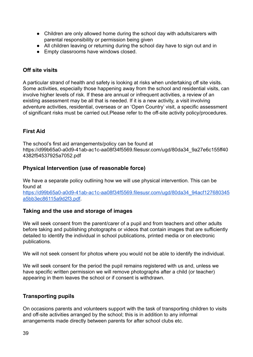- Children are only allowed home during the school day with adults/carers with parental responsibility or permission being given
- All children leaving or returning during the school day have to sign out and in
- Empty classrooms have windows closed.

#### <span id="page-38-0"></span>**Off site visits**

A particular strand of health and safety is looking at risks when undertaking off site visits. Some activities, especially those happening away from the school and residential visits, can involve higher levels of risk. If these are annual or infrequent activities, a review of an existing assessment may be all that is needed. If it is a new activity, a visit involving adventure activities, residential, overseas or an 'Open Country' visit, a specific assessment of significant risks must be carried out.Please refer to the off-site activity policy/procedures.

#### <span id="page-38-1"></span>**First Aid**

The school's first aid arrangements/policy can be found at https://d99b65a0-a0d9-41ab-ac1c-aa08f34f5569.filesusr.com/ugd/80da34\_9a27e6c155ff40 4382f54537925a7052.pdf

#### <span id="page-38-2"></span>**Physical Intervention (use of reasonable force)**

We have a separate policy outlining how we will use physical intervention. This can be found at [https://d99b65a0-a0d9-41ab-ac1c-aa08f34f5569.filesusr.com/ugd/80da34\\_94acf127680345](https://d99b65a0-a0d9-41ab-ac1c-aa08f34f5569.filesusr.com/ugd/80da34_94acf127680345a5bb3ec86115a9d2f3.pdf) [a5bb3ec86115a9d2f3.pdf](https://d99b65a0-a0d9-41ab-ac1c-aa08f34f5569.filesusr.com/ugd/80da34_94acf127680345a5bb3ec86115a9d2f3.pdf).

#### <span id="page-38-3"></span>**Taking and the use and storage of images**

We will seek consent from the parent/carer of a pupil and from teachers and other adults before taking and publishing photographs or videos that contain images that are sufficiently detailed to identify the individual in school publications, printed media or on electronic publications.

We will not seek consent for photos where you would not be able to identify the individual.

We will seek consent for the period the pupil remains registered with us and, unless we have specific written permission we will remove photographs after a child (or teacher) appearing in them leaves the school or if consent is withdrawn.

#### <span id="page-38-4"></span>**Transporting pupils**

On occasions parents and volunteers support with the task of transporting children to visits and off-site activities arranged by the school; this is in addition to any informal arrangements made directly between parents for after school clubs etc.